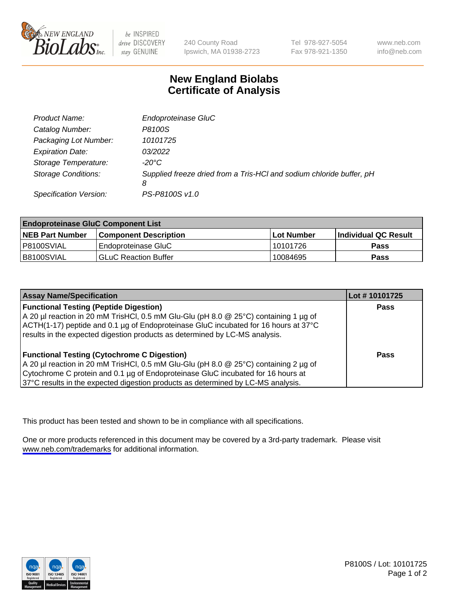

be INSPIRED drive DISCOVERY stay GENUINE

240 County Road Ipswich, MA 01938-2723 Tel 978-927-5054 Fax 978-921-1350

www.neb.com info@neb.com

## **New England Biolabs Certificate of Analysis**

| Product Name:              | Endoproteinase GluC                                                       |
|----------------------------|---------------------------------------------------------------------------|
| Catalog Number:            | P8100S                                                                    |
| Packaging Lot Number:      | 10101725                                                                  |
| <b>Expiration Date:</b>    | 03/2022                                                                   |
| Storage Temperature:       | $-20^{\circ}$ C                                                           |
| <b>Storage Conditions:</b> | Supplied freeze dried from a Tris-HCI and sodium chloride buffer, pH<br>8 |
| Specification Version:     | PS-P8100S v1.0                                                            |

| <b>Endoproteinase GluC Component List</b> |                              |            |                       |  |
|-------------------------------------------|------------------------------|------------|-----------------------|--|
| <b>NEB Part Number</b>                    | <b>Component Description</b> | Lot Number | ∣Individual QC Result |  |
| P8100SVIAL                                | Endoproteinase GluC          | 10101726   | <b>Pass</b>           |  |
| B8100SVIAL                                | <b>GLuC Reaction Buffer</b>  | 10084695   | Pass                  |  |

| <b>Assay Name/Specification</b>                                                      | Lot #10101725 |
|--------------------------------------------------------------------------------------|---------------|
| <b>Functional Testing (Peptide Digestion)</b>                                        | <b>Pass</b>   |
| A 20 µl reaction in 20 mM TrisHCl, 0.5 mM Glu-Glu (pH 8.0 @ 25°C) containing 1 µg of |               |
| ACTH(1-17) peptide and 0.1 µg of Endoproteinase GluC incubated for 16 hours at 37°C  |               |
| results in the expected digestion products as determined by LC-MS analysis.          |               |
| <b>Functional Testing (Cytochrome C Digestion)</b>                                   | Pass          |
| A 20 µl reaction in 20 mM TrisHCl, 0.5 mM Glu-Glu (pH 8.0 @ 25°C) containing 2 µg of |               |
| Cytochrome C protein and 0.1 µg of Endoproteinase GluC incubated for 16 hours at     |               |
| 37°C results in the expected digestion products as determined by LC-MS analysis.     |               |

This product has been tested and shown to be in compliance with all specifications.

One or more products referenced in this document may be covered by a 3rd-party trademark. Please visit <www.neb.com/trademarks>for additional information.